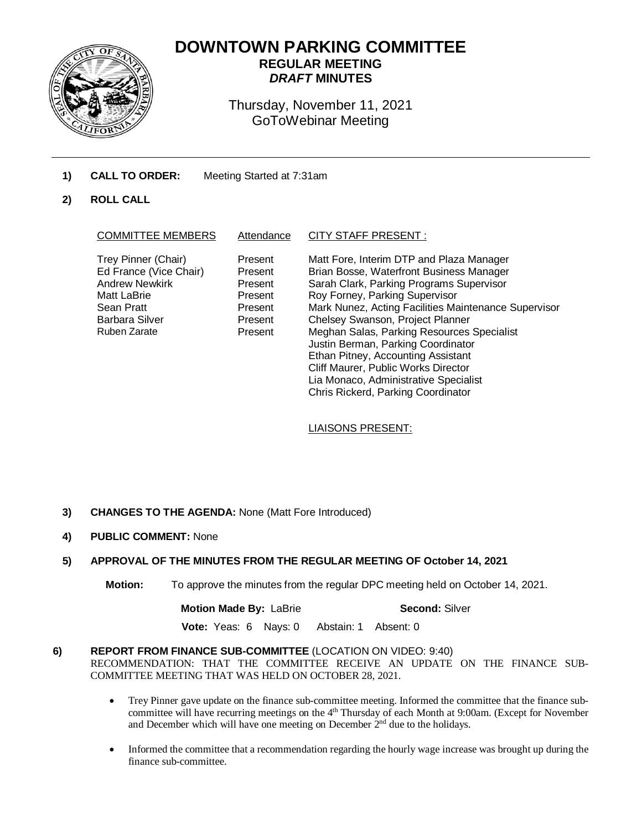

# **DOWNTOWN PARKING COMMITTEE REGULAR MEETING** *DRAFT* **MINUTES**

Thursday, November 11, 2021 GoToWebinar Meeting

- **1) CALL TO ORDER:** Meeting Started at 7:31am
- **2) ROLL CALL**

| Trey Pinner (Chair)<br>Matt Fore, Interim DTP and Plaza Manager<br>Present                                                                                                                                                                                                                                                                                                                                                                                                                                                                                                                                                                                    | Attendance | <b>COMMITTEE MEMBERS</b> |
|---------------------------------------------------------------------------------------------------------------------------------------------------------------------------------------------------------------------------------------------------------------------------------------------------------------------------------------------------------------------------------------------------------------------------------------------------------------------------------------------------------------------------------------------------------------------------------------------------------------------------------------------------------------|------------|--------------------------|
| Ed France (Vice Chair)<br>Brian Bosse, Waterfront Business Manager<br>Present<br><b>Andrew Newkirk</b><br>Sarah Clark, Parking Programs Supervisor<br>Present<br>Roy Forney, Parking Supervisor<br>Matt LaBrie<br>Present<br>Mark Nunez, Acting Facilities Maintenance Supervisor<br>Sean Pratt<br>Present<br>Chelsey Swanson, Project Planner<br><b>Barbara Silver</b><br>Present<br>Ruben Zarate<br>Meghan Salas, Parking Resources Specialist<br>Present<br>Justin Berman, Parking Coordinator<br>Ethan Pitney, Accounting Assistant<br>Cliff Maurer, Public Works Director<br>Lia Monaco, Administrative Specialist<br>Chris Rickerd, Parking Coordinator |            |                          |

# LIAISONS PRESENT:

- **3) CHANGES TO THE AGENDA:** None (Matt Fore Introduced)
- **4) PUBLIC COMMENT:** None

# **5) APPROVAL OF THE MINUTES FROM THE REGULAR MEETING OF October 14, 2021**

**Motion:** To approve the minutes from the regular DPC meeting held on October 14, 2021.

**Motion Made By: LaBrie <b>Second:** Silver

 **Vote:** Yeas: 6 Nays: 0 Abstain: 1 Absent: 0

# **6) REPORT FROM FINANCE SUB-COMMITTEE** (LOCATION ON VIDEO: 9:40) RECOMMENDATION: THAT THE COMMITTEE RECEIVE AN UPDATE ON THE FINANCE SUB-COMMITTEE MEETING THAT WAS HELD ON OCTOBER 28, 2021.

- Trey Pinner gave update on the finance sub-committee meeting. Informed the committee that the finance subcommittee will have recurring meetings on the 4<sup>th</sup> Thursday of each Month at 9:00am. (Except for November and December which will have one meeting on December  $2<sup>nd</sup>$  due to the holidays.
- Informed the committee that a recommendation regarding the hourly wage increase was brought up during the finance sub-committee.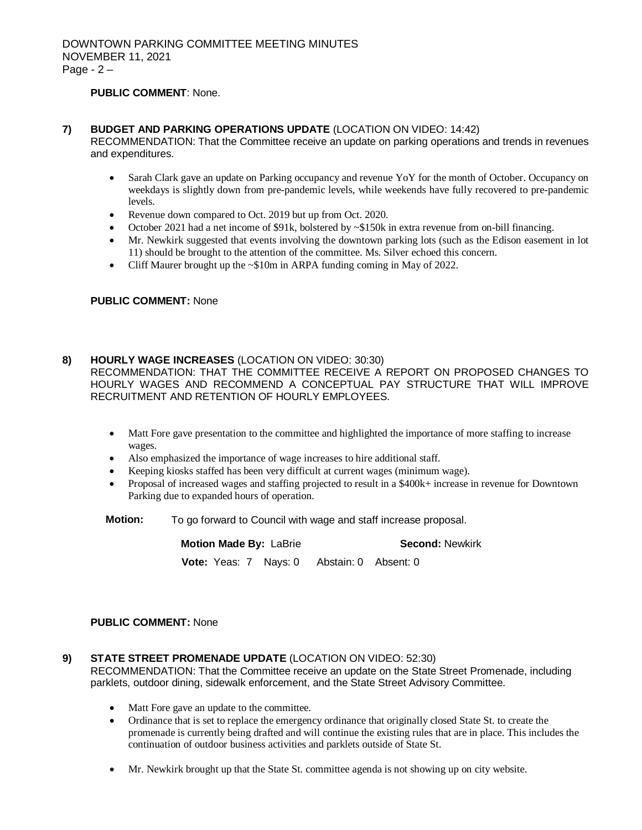# **PUBLIC COMMENT**: None.

#### **7) BUDGET AND PARKING OPERATIONS UPDATE** (LOCATION ON VIDEO: 14:42)

RECOMMENDATION: That the Committee receive an update on parking operations and trends in revenues and expenditures.

- Sarah Clark gave an update on Parking occupancy and revenue YoY for the month of October. Occupancy on weekdays is slightly down from pre-pandemic levels, while weekends have fully recovered to pre-pandemic levels.
- Revenue down compared to Oct. 2019 but up from Oct. 2020.
- October 2021 had a net income of \$91k, bolstered by ~\$150k in extra revenue from on-bill financing.
- Mr. Newkirk suggested that events involving the downtown parking lots (such as the Edison easement in lot 11) should be brought to the attention of the committee. Ms. Silver echoed this concern.
- Cliff Maurer brought up the ~\$10m in ARPA funding coming in May of 2022.

#### **PUBLIC COMMENT:** None

#### **8) HOURLY WAGE INCREASES** (LOCATION ON VIDEO: 30:30)

RECOMMENDATION: THAT THE COMMITTEE RECEIVE A REPORT ON PROPOSED CHANGES TO HOURLY WAGES AND RECOMMEND A CONCEPTUAL PAY STRUCTURE THAT WILL IMPROVE RECRUITMENT AND RETENTION OF HOURLY EMPLOYEES.

- Matt Fore gave presentation to the committee and highlighted the importance of more staffing to increase wages.
- Also emphasized the importance of wage increases to hire additional staff.
- Keeping kiosks staffed has been very difficult at current wages (minimum wage).
- Proposal of increased wages and staffing projected to result in a \$400k+ increase in revenue for Downtown Parking due to expanded hours of operation.
- **Motion:** To go forward to Council with wage and staff increase proposal.

**Motion Made By: LaBrie <b>Second:** Newkirk  **Vote:** Yeas: 7 Nays: 0 Abstain: 0 Absent: 0

# **PUBLIC COMMENT:** None

# **9) STATE STREET PROMENADE UPDATE** (LOCATION ON VIDEO: 52:30)

RECOMMENDATION: That the Committee receive an update on the State Street Promenade, including parklets, outdoor dining, sidewalk enforcement, and the State Street Advisory Committee.

- Matt Fore gave an update to the committee.
- Ordinance that is set to replace the emergency ordinance that originally closed State St. to create the promenade is currently being drafted and will continue the existing rules that are in place. This includes the continuation of outdoor business activities and parklets outside of State St.
- Mr. Newkirk brought up that the State St. committee agenda is not showing up on city website.